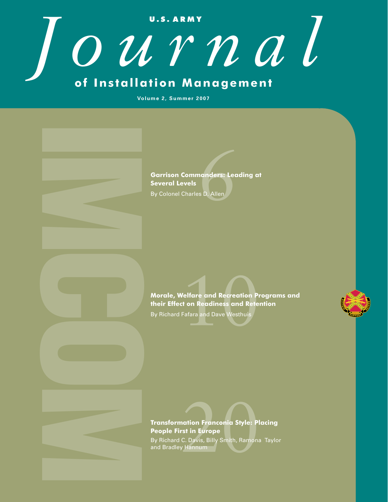# **U . S . A R M Y** *Journal* **of Installation Management**

**Volume 2, Summer 2007**

**Garrison Commanders: Leading at<br>Several Levels<br>By Colonel Charles D. Allen Several Levels** By Colonel Charles D. Allen

Morale, Welfare and Recreation Programs and **their Effect on Readiness and Retention** By Richard Fafara and Dave Westhuis

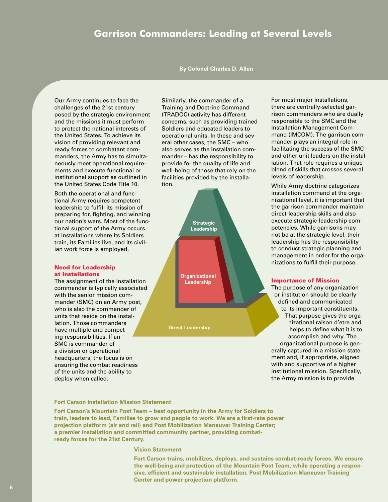# **Garrison Commanders: Leading at Several Levels**

# **By Colonel Charles D. Allen**

Our Army continues to face the challenges of the 21st century posed by the strategic environment and the missions it must perform to protect the national interests of the United States. To achieve its vision of providing relevant and ready forces to combatant commanders, the Army has to simultaneously meet operational requirements and execute functional or institutional support as outlined in the United States Code Title 10.

Both the operational and functional Army requires competent leadership to fulfill its mission of preparing for, fighting, and winning our nation's wars. Most of the functional support of the Army occurs at installations where its Soldiers train, its Families live, and its civilian work force is employed.

#### Need for Leadership at Installations

The assignment of the installation commander is typically associated with the senior mission commander (SMC) on an Army post, who is also the commander of units that reside on the installation. Those commanders have multiple and competing responsibilities. If an SMC is commander of a division or operational headquarters, the focus is on ensuring the combat readiness of the units and the ability to deploy when called.

Similarly, the commander of a Training and Doctrine Command (TRADOC) activity has different concerns, such as providing trained Soldiers and educated leaders to operational units. In these and several other cases, the SMC – who also serves as the installation commander – has the responsibility to provide for the quality of life and well-being of those that rely on the facilities provided by the installation.



**Direct Leadership**

For most major installations, there are centrally-selected garrison commanders who are dually responsible to the SMC and the Installation Management Command (IMCOM). The garrison commander plays an integral role in facilitating the success of the SMC and other unit leaders on the installation. That role requires a unique blend of skills that crosses several levels of leadership.

While Army doctrine categorizes installation command at the organizational level, it is important that the garrison commander maintain direct-leadership skills and also execute strategic-leadership competencies. While garrisons may not be at the strategic level, their leadership has the responsibility to conduct strategic planning and management in order for the organizations to fulfill their purpose.

#### Importance of Mission

The purpose of any organization or institution should be clearly defined and communicated to its important constituents. That purpose gives the organizational raison d'etre and helps to define what it is to accomplish and why. The organizational purpose is generally captured in a mission statement and, if appropriate, aligned with and supportive of a higher institutional mission. Specifically, the Army mission is to provide

## **Fort Carson Installation Mission Statement**

**Fort Carson's Mountain Post Team – best opportunity in the Army for Soldiers to train, leaders to lead, Families to grow and people to work. We are a first-rate power projection platform (air and rail) and Post Mobilization Maneuver Training Center; a premier installation and committed community partner, providing combatready forces for the 21st Century.**

## **Vision Statement**

**Fort Carson trains, mobilizes, deploys, and sustains combat-ready forces. We ensure the well-being and protection of the Mountain Post Team, while operating a responsive, efficient and sustainable installation, Post Mobilization Maneuver Training Center and power projection platform.**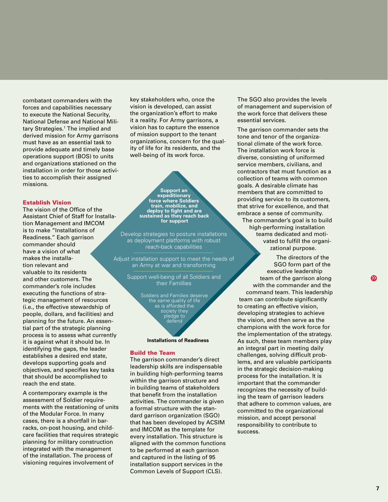combatant commanders with the forces and capabilities necessary to execute the National Security, National Defense and National Military Strategies.1 The implied and derived mission for Army garrisons must have as an essential task to provide adequate and timely base operations support (BOS) to units and organizations stationed on the installation in order for those activities to accomplish their assigned missions.

#### Establish Vision

The vision of the Office of the Assistant Chief of Staff for Installation Management and IMCOM is to make "Installations of Readiness." Each garrison commander should have a vision of what makes the installation relevant and valuable to its residents and other customers. The commander's role includes executing the functions of strategic management of resources (i.e., the effective stewardship of people, dollars, and facilities) and planning for the future. An essential part of the strategic planning process is to assess what currently it is against what it should be. In identifying the gaps, the leader establishes a desired end state, develops supporting goals and objectives, and specifies key tasks that should be accomplished to reach the end state.

A contemporary example is the assessment of Soldier requirements with the restationing of units of the Modular Force. In many cases, there is a shortfall in barracks, on-post housing, and childcare facilities that requires strategic planning for military construction integrated with the management of the installation. The process of visioning requires involvement of

key stakeholders who, once the vision is developed, can assist the organization's effort to make it a reality. For Army garrisons, a vision has to capture the essence of mission support to the tenant organizations, concern for the quality of life for its residents, and the well-being of its work force.

**Support an expeditionary force where Soldiers train, mobilize, and deploy to fight and are sustained as they reach back for support**

Develop strategies to posture installations as deployment platforms with robust reach-back capabilities

Adjust installation support to meet the needs of an Army at war and transforming

> Support well-being of all Soldiers and their Famillies

> > Soldiers and Families deserve the same quality of life as is afforded the society they pledge to defend

#### **Installations of Readiness**

#### Build the Team

The garrison commander's direct leadership skills are indispensable in building high-performing teams within the garrison structure and in building teams of stakeholders that benefit from the installation activities. The commander is given a formal structure with the standard garrison organization (SGO) that has been developed by ACSIM and IMCOM as the template for every installation. This structure is aligned with the common functions to be performed at each garrison and captured in the listing of 95 installation support services in the Common Levels of Support (CLS).

The SGO also provides the levels of management and supervision of the work force that delivers these essential services.

The garrison commander sets the tone and tenor of the organizational climate of the work force. The installation work force is diverse, consisting of uniformed service members, civilians, and contractors that must function as a collection of teams with common goals. A desirable climate has members that are committed to providing service to its customers, that strive for excellence, and that embrace a sense of community. The commander's goal is to build high-performing installation teams dedicated and motivated to fulfill the organizational purpose.

The directors of the SGO form part of the executive leadership team of the garrison along with the commander and the command team. This leadership team can contribute significantly to creating an effective vision, developing strategies to achieve the vision, and then serve as the champions with the work force for the implementation of the strategy. As such, these team members play an integral part in meeting daily challenges, solving difficult problems, and are valuable participants in the strategic decision-making process for the installation. It is important that the commander recognizes the necessity of building the team of garrison leaders that adhere to common values, are committed to the organizational mission, and accept personal responsibility to contribute to success.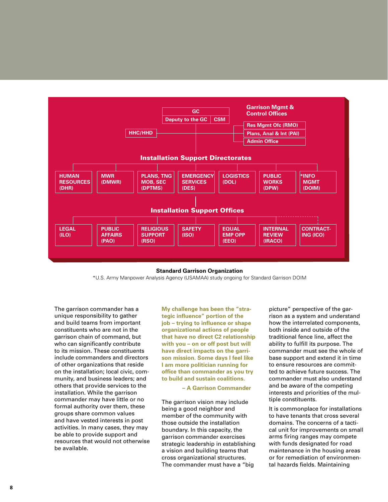

#### **Standard Garrison Organization**

\*U.S. Army Manpower Analysis Agency (USAMAA) study ongoing for Standard Garrison DOIM

The garrison commander has a unique responsibility to gather and build teams from important constituents who are not in the garrison chain of command, but who can significantly contribute to its mission. These constituents include commanders and directors of other organizations that reside on the installation; local civic, community, and business leaders; and others that provide services to the installation. While the garrison commander may have little or no formal authority over them, these groups share common values and have vested interests in post activities. In many cases, they may be able to provide support and resources that would not otherwise be available.

**My challenge has been the "strategic influence" portion of the job – trying to influence or shape organizational actions of people that have no direct C2 relationship with you – on or off post but will have direct impacts on the garrison mission. Some days I feel like I am more politician running for office than commander as you try to build and sustain coalitions.**

 **– A Garrison Commander**

The garrison vision may include being a good neighbor and member of the community with those outside the installation boundary. In this capacity, the garrison commander exercises strategic leadership in establishing a vision and building teams that cross organizational structures. The commander must have a "big

picture" perspective of the garrison as a system and understand how the interrelated components, both inside and outside of the traditional fence line, affect the ability to fulfill its purpose. The commander must see the whole of base support and extend it in time to ensure resources are committed to achieve future success. The commander must also understand and be aware of the competing interests and priorities of the multiple constituents.

It is commonplace for installations to have tenants that cross several domains. The concerns of a tactical unit for improvements on small arms firing ranges may compete with funds designated for road maintenance in the housing areas or for remediation of environmental hazards fields. Maintaining